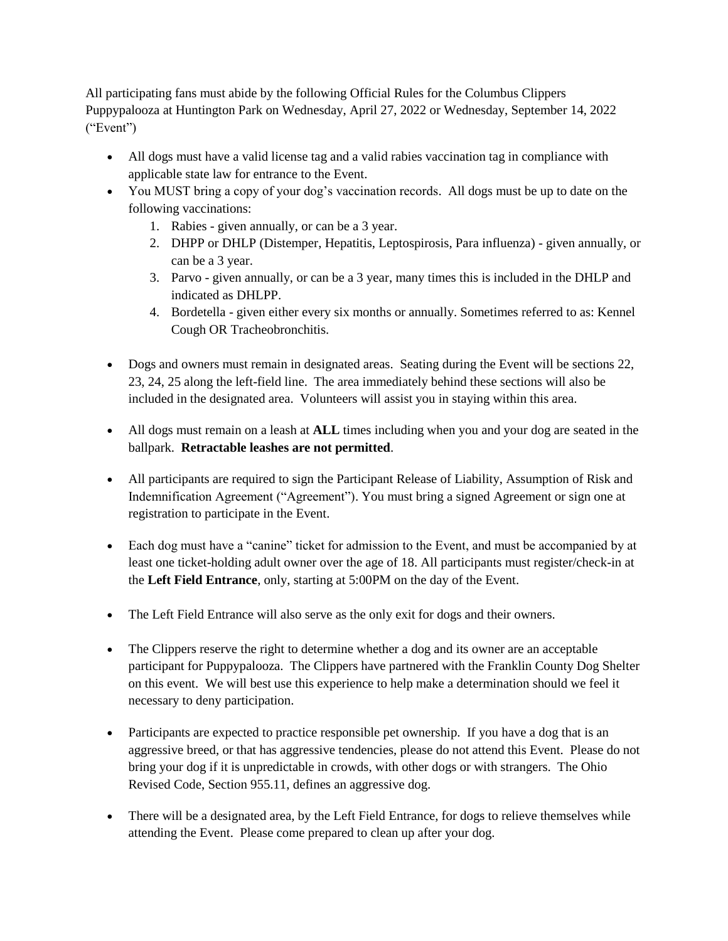All participating fans must abide by the following Official Rules for the Columbus Clippers Puppypalooza at Huntington Park on Wednesday, April 27, 2022 or Wednesday, September 14, 2022 ("Event")

- All dogs must have a valid license tag and a valid rabies vaccination tag in compliance with applicable state law for entrance to the Event.
- You MUST bring a copy of your dog's vaccination records. All dogs must be up to date on the following vaccinations:
	- 1. Rabies given annually, or can be a 3 year.
	- 2. DHPP or DHLP (Distemper, Hepatitis, Leptospirosis, Para influenza) given annually, or can be a 3 year.
	- 3. Parvo given annually, or can be a 3 year, many times this is included in the DHLP and indicated as DHLPP.
	- 4. Bordetella given either every six months or annually. Sometimes referred to as: Kennel Cough OR Tracheobronchitis.
- Dogs and owners must remain in designated areas. Seating during the Event will be sections 22, 23, 24, 25 along the left-field line. The area immediately behind these sections will also be included in the designated area. Volunteers will assist you in staying within this area.
- All dogs must remain on a leash at **ALL** times including when you and your dog are seated in the ballpark. **Retractable leashes are not permitted**.
- All participants are required to sign the Participant Release of Liability, Assumption of Risk and Indemnification Agreement ("Agreement"). You must bring a signed Agreement or sign one at registration to participate in the Event.
- Each dog must have a "canine" ticket for admission to the Event, and must be accompanied by at least one ticket-holding adult owner over the age of 18. All participants must register/check-in at the **Left Field Entrance**, only, starting at 5:00PM on the day of the Event.
- The Left Field Entrance will also serve as the only exit for dogs and their owners.
- The Clippers reserve the right to determine whether a dog and its owner are an acceptable participant for Puppypalooza. The Clippers have partnered with the Franklin County Dog Shelter on this event. We will best use this experience to help make a determination should we feel it necessary to deny participation.
- Participants are expected to practice responsible pet ownership. If you have a dog that is an aggressive breed, or that has aggressive tendencies, please do not attend this Event. Please do not bring your dog if it is unpredictable in crowds, with other dogs or with strangers. The Ohio Revised Code, Section 955.11, defines an aggressive dog.
- There will be a designated area, by the Left Field Entrance, for dogs to relieve themselves while attending the Event. Please come prepared to clean up after your dog.